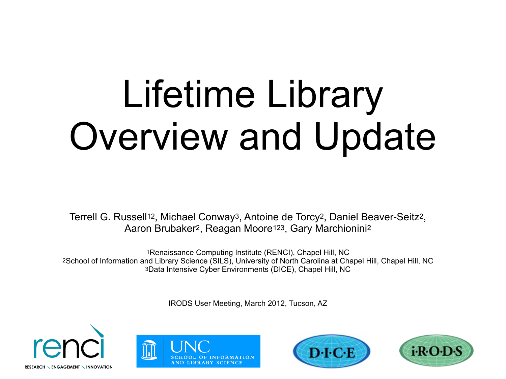# Lifetime Library Overview and Update

Terrell G. Russell12, Michael Conway3, Antoine de Torcy2, Daniel Beaver-Seitz2, Aaron Brubaker2, Reagan Moore123, Gary Marchionini<sup>2</sup>

1Renaissance Computing Institute (RENCI), Chapel Hill, NC 2School of Information and Library Science (SILS), University of North Carolina at Chapel Hill, Chapel Hill, NC 3Data Intensive Cyber Environments (DICE), Chapel Hill, NC

IRODS User Meeting, March 2012, Tucson, AZ







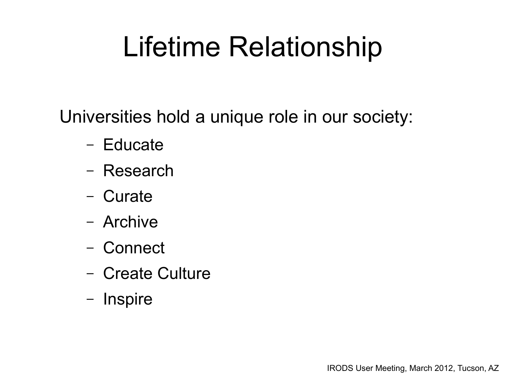### Lifetime Relationship

Universities hold a unique role in our society:

- Educate
- Research
- Curate
- Archive
- Connect
- Create Culture
- Inspire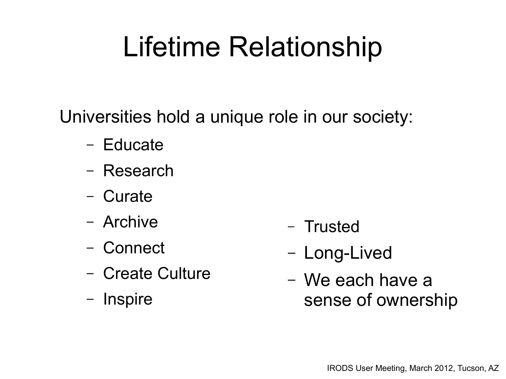### Lifetime Relationship

Universities hold a unique role in our society:

- Educate
- Research
- Curate
- Archive
- Connect
- Create Culture
- Inspire
- Trusted
- Long-Lived
- We each have a sense of ownership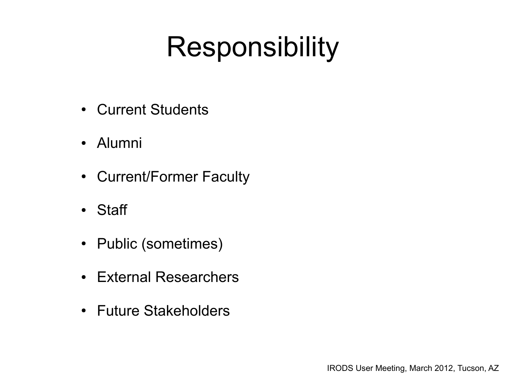#### Responsibility

- Current Students
- Alumni
- Current/Former Faculty
- Staff
- Public (sometimes)
- External Researchers
- Future Stakeholders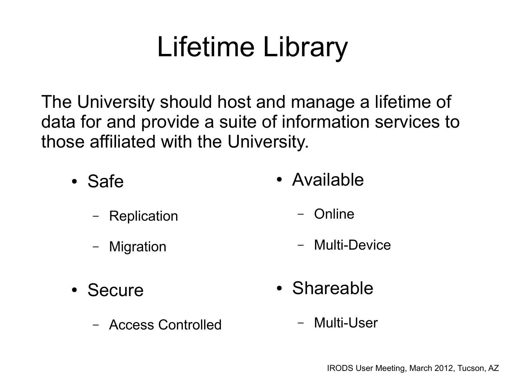## Lifetime Library

The University should host and manage a lifetime of data for and provide a suite of information services to those affiliated with the University.

• Safe

• Available

- Replication
- Migration
- Online
- Multi-Device

- Secure
	- Access Controlled
- Shareable
	- Multi-User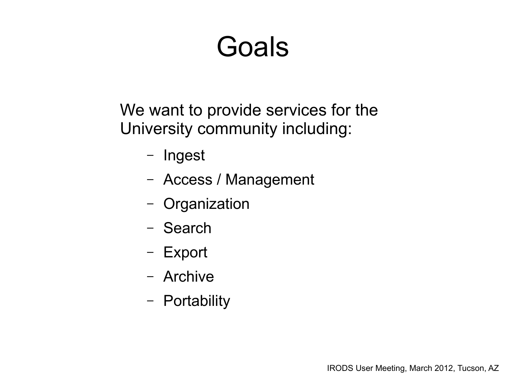#### Goals

We want to provide services for the University community including:

- Ingest
- Access / Management
- Organization
- Search
- Export
- Archive
- Portability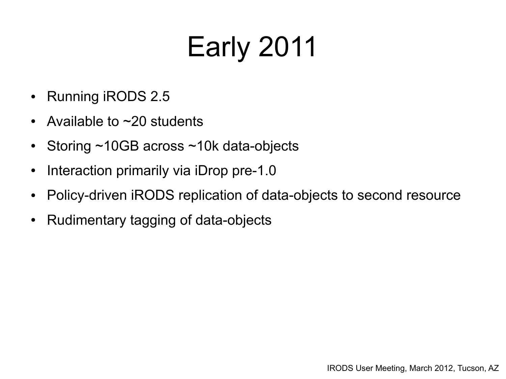# Early 2011

- Running iRODS 2.5
- Available to  $\sim$  20 students
- Storing  $\sim$ 10GB across  $\sim$ 10k data-objects
- Interaction primarily via iDrop pre-1.0
- Policy-driven iRODS replication of data-objects to second resource
- Rudimentary tagging of data-objects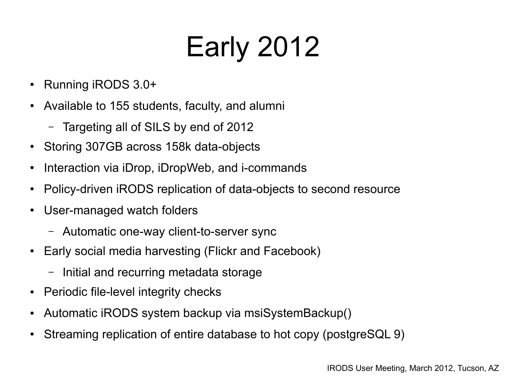# Early 2012

- Running iRODS 3.0+
- Available to 155 students, faculty, and alumni
	- Targeting all of SILS by end of 2012
- Storing 307GB across 158k data-objects
- Interaction via iDrop, iDropWeb, and i-commands
- Policy-driven iRODS replication of data-objects to second resource
- User-managed watch folders
	- Automatic one-way client-to-server sync
- Early social media harvesting (Flickr and Facebook)
	- Initial and recurring metadata storage
- Periodic file-level integrity checks
- Automatic iRODS system backup via msiSystemBackup()
- Streaming replication of entire database to hot copy (postgreSQL 9)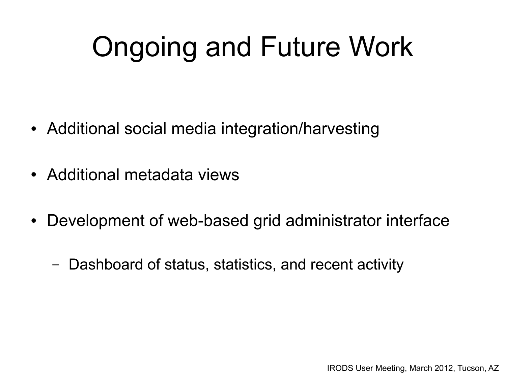## Ongoing and Future Work

- Additional social media integration/harvesting
- Additional metadata views
- Development of web-based grid administrator interface
	- Dashboard of status, statistics, and recent activity